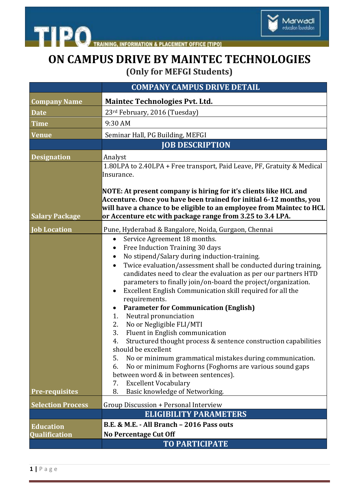

TRAINING, INFORMATION & PLACEMENT OFFICE [TIPO]

## **ON CAMPUS DRIVE BY MAINTEC TECHNOLOGIES (Only for MEFGI Students)**

|                          | <b>COMPANY CAMPUS DRIVE DETAIL</b>                                                                                                                                                                                                                                                                                                                                                                                                                                                                                                                                                                                                                                                                                                                                                                                                                                                                                                                                           |
|--------------------------|------------------------------------------------------------------------------------------------------------------------------------------------------------------------------------------------------------------------------------------------------------------------------------------------------------------------------------------------------------------------------------------------------------------------------------------------------------------------------------------------------------------------------------------------------------------------------------------------------------------------------------------------------------------------------------------------------------------------------------------------------------------------------------------------------------------------------------------------------------------------------------------------------------------------------------------------------------------------------|
| <b>Company Name</b>      | <b>Maintec Technologies Pvt. Ltd.</b>                                                                                                                                                                                                                                                                                                                                                                                                                                                                                                                                                                                                                                                                                                                                                                                                                                                                                                                                        |
| <b>Date</b>              | 23rd February, 2016 (Tuesday)                                                                                                                                                                                                                                                                                                                                                                                                                                                                                                                                                                                                                                                                                                                                                                                                                                                                                                                                                |
| <b>Time</b>              | 9:30 AM                                                                                                                                                                                                                                                                                                                                                                                                                                                                                                                                                                                                                                                                                                                                                                                                                                                                                                                                                                      |
| <b>Venue</b>             | Seminar Hall, PG Building, MEFGI                                                                                                                                                                                                                                                                                                                                                                                                                                                                                                                                                                                                                                                                                                                                                                                                                                                                                                                                             |
|                          | <b>JOB DESCRIPTION</b>                                                                                                                                                                                                                                                                                                                                                                                                                                                                                                                                                                                                                                                                                                                                                                                                                                                                                                                                                       |
| <b>Designation</b>       | Analyst                                                                                                                                                                                                                                                                                                                                                                                                                                                                                                                                                                                                                                                                                                                                                                                                                                                                                                                                                                      |
|                          | 1.80LPA to 2.40LPA + Free transport, Paid Leave, PF, Gratuity & Medical<br>Insurance.                                                                                                                                                                                                                                                                                                                                                                                                                                                                                                                                                                                                                                                                                                                                                                                                                                                                                        |
| <b>Salary Package</b>    | NOTE: At present company is hiring for it's clients like HCL and<br>Accenture. Once you have been trained for initial 6-12 months, you<br>will have a chance to be eligible to an employee from Maintec to HCL<br>or Accenture etc with package range from 3.25 to 3.4 LPA.                                                                                                                                                                                                                                                                                                                                                                                                                                                                                                                                                                                                                                                                                                  |
| <b>Job Location</b>      | Pune, Hyderabad & Bangalore, Noida, Gurgaon, Chennai                                                                                                                                                                                                                                                                                                                                                                                                                                                                                                                                                                                                                                                                                                                                                                                                                                                                                                                         |
| <b>Pre-requisites</b>    | Service Agreement 18 months.<br>$\bullet$<br>Free Induction Training 30 days<br>No stipend/Salary during induction-training.<br>$\bullet$<br>Twice evaluation/assessment shall be conducted during training,<br>$\bullet$<br>candidates need to clear the evaluation as per our partners HTD<br>parameters to finally join/on-board the project/organization.<br>Excellent English Communication skill required for all the<br>requirements.<br><b>Parameter for Communication (English)</b><br>$\bullet$<br>Neutral pronunciation<br>1.<br>No or Negligible FLI/MTI<br>2.<br>3.<br>Fluent in English communication<br>Structured thought process & sentence construction capabilities<br>4.<br>should be excellent<br>No or minimum grammatical mistakes during communication.<br>5.<br>No or minimum Foghorns (Foghorns are various sound gaps<br>6.<br>between word & in between sentences).<br><b>Excellent Vocabulary</b><br>7.<br>8.<br>Basic knowledge of Networking. |
| <b>Selection Process</b> | Group Discussion + Personal Interview                                                                                                                                                                                                                                                                                                                                                                                                                                                                                                                                                                                                                                                                                                                                                                                                                                                                                                                                        |
|                          | <b>ELIGIBILITY PARAMETERS</b>                                                                                                                                                                                                                                                                                                                                                                                                                                                                                                                                                                                                                                                                                                                                                                                                                                                                                                                                                |
| <b>Education</b>         | B.E. & M.E. - All Branch - 2016 Pass outs                                                                                                                                                                                                                                                                                                                                                                                                                                                                                                                                                                                                                                                                                                                                                                                                                                                                                                                                    |
| <b>Qualification</b>     | <b>No Percentage Cut Off</b>                                                                                                                                                                                                                                                                                                                                                                                                                                                                                                                                                                                                                                                                                                                                                                                                                                                                                                                                                 |
|                          | <b>TO PARTICIPATE</b>                                                                                                                                                                                                                                                                                                                                                                                                                                                                                                                                                                                                                                                                                                                                                                                                                                                                                                                                                        |